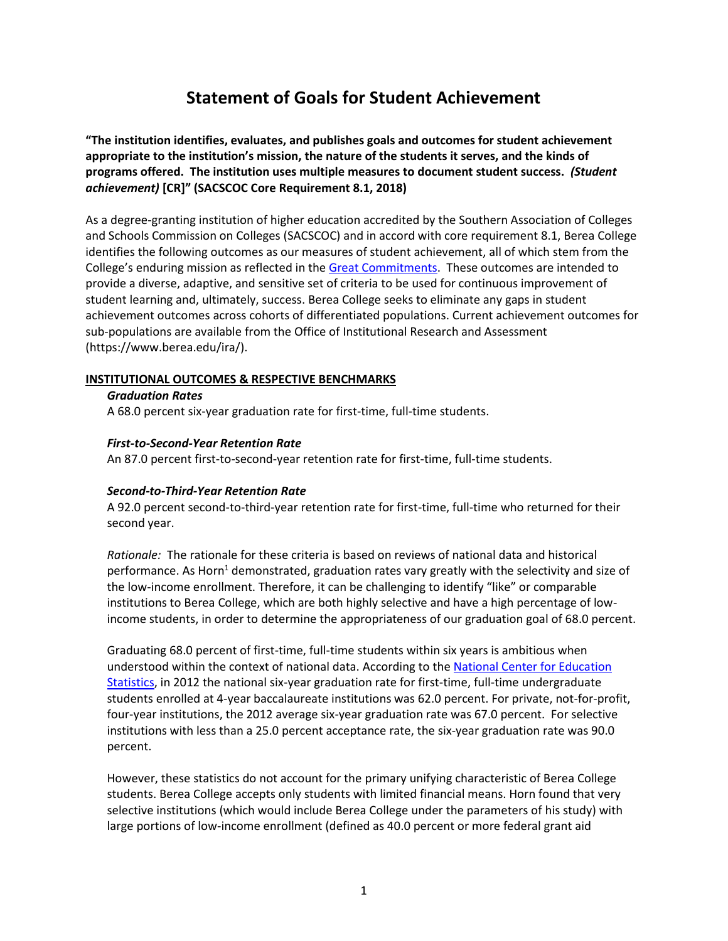# **Statement of Goals for Student Achievement**

**"The institution identifies, evaluates, and publishes goals and outcomes for student achievement appropriate to the institution's mission, the nature of the students it serves, and the kinds of programs offered. The institution uses multiple measures to document student success.** *(Student achievement)* **[CR]" (SACSCOC Core Requirement 8.1, 2018)**

As a degree-granting institution of higher education accredited by the Southern Association of Colleges and Schools Commission on Colleges (SACSCOC) and in accord with core requirement 8.1, Berea College identifies the following outcomes as our measures of student achievement, all of which stem from the College's enduring mission as reflected in th[e Great Commitments.](http://www.berea.edu/about/mission/) These outcomes are intended to provide a diverse, adaptive, and sensitive set of criteria to be used for continuous improvement of student learning and, ultimately, success. Berea College seeks to eliminate any gaps in student achievement outcomes across cohorts of differentiated populations. Current achievement outcomes for sub-populations are available from the Office of Institutional Research and Assessment (https://www.berea.edu/ira/).

#### **INSTITUTIONAL OUTCOMES & RESPECTIVE BENCHMARKS**

#### *Graduation Rates*

A 68.0 percent six-year graduation rate for first-time, full-time students.

#### *First-to-Second-Year Retention Rate*

An 87.0 percent first-to-second-year retention rate for first-time, full-time students.

#### *Second-to-Third-Year Retention Rate*

A 92.0 percent second-to-third-year retention rate for first-time, full-time who returned for their second year.

*Rationale:* The rationale for these criteria is based on reviews of national data and historical performance. As Horn<sup>1</sup> demonstrated, graduation rates vary greatly with the selectivity and size of the low-income enrollment. Therefore, it can be challenging to identify "like" or comparable institutions to Berea College, which are both highly selective and have a high percentage of lowincome students, in order to determine the appropriateness of our graduation goal of 68.0 percent.

Graduating 68.0 percent of first-time, full-time students within six years is ambitious when understood within the context of national data. According to the National Center for Education [Statistics,](http://nces.ed.gov/fastfacts/display.asp?id=40) in 2012 the national six-year graduation rate for first-time, full-time undergraduate students enrolled at 4-year baccalaureate institutions was 62.0 percent. For private, not-for-profit, four-year institutions, the 2012 average six-year graduation rate was 67.0 percent. For selective institutions with less than a 25.0 percent acceptance rate, the six-year graduation rate was 90.0 percent.

However, these statistics do not account for the primary unifying characteristic of Berea College students. Berea College accepts only students with limited financial means. Horn found that very selective institutions (which would include Berea College under the parameters of his study) with large portions of low-income enrollment (defined as 40.0 percent or more federal grant aid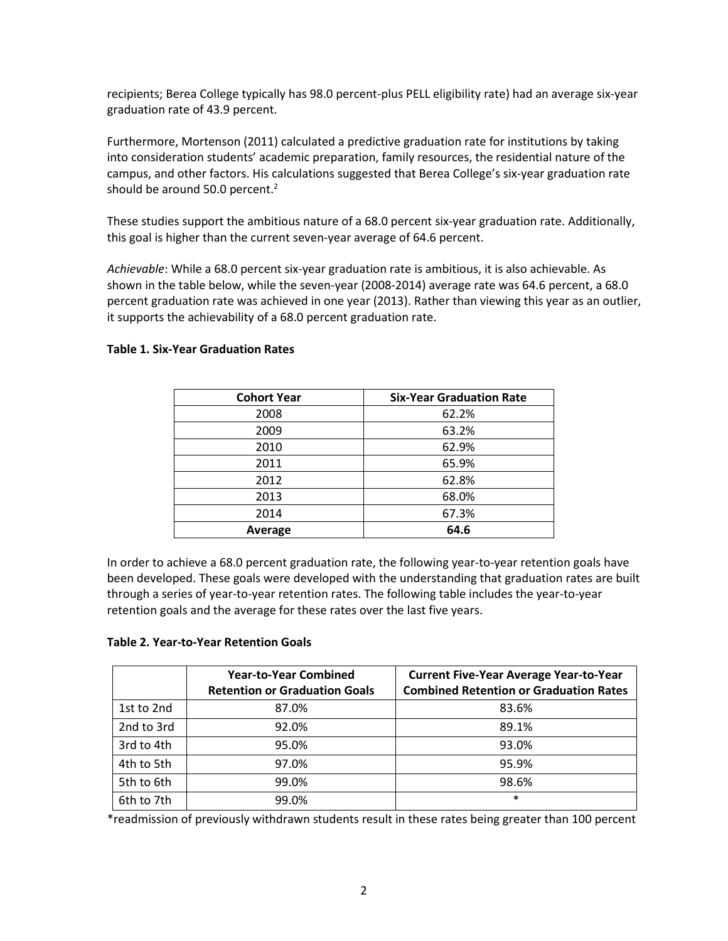recipients; Berea College typically has 98.0 percent-plus PELL eligibility rate) had an average six-year graduation rate of 43.9 percent.

Furthermore, Mortenson (2011) calculated a predictive graduation rate for institutions by taking into consideration students' academic preparation, family resources, the residential nature of the campus, and other factors. His calculations suggested that Berea College's six-year graduation rate should be around 50.0 percent.<sup>2</sup>

These studies support the ambitious nature of a 68.0 percent six-year graduation rate. Additionally, this goal is higher than the current seven-year average of 64.6 percent.

*Achievable*: While a 68.0 percent six-year graduation rate is ambitious, it is also achievable. As shown in the table below, while the seven-year (2008-2014) average rate was 64.6 percent, a 68.0 percent graduation rate was achieved in one year (2013). Rather than viewing this year as an outlier, it supports the achievability of a 68.0 percent graduation rate.

| <b>Cohort Year</b> | <b>Six-Year Graduation Rate</b> |  |  |
|--------------------|---------------------------------|--|--|
| 2008               | 62.2%                           |  |  |
| 2009               | 63.2%                           |  |  |
| 2010               | 62.9%                           |  |  |
| 2011               | 65.9%                           |  |  |
| 2012               | 62.8%                           |  |  |
| 2013               | 68.0%                           |  |  |
| 2014               | 67.3%                           |  |  |
| Average            | 64.6                            |  |  |

### **Table 1. Six-Year Graduation Rates**

In order to achieve a 68.0 percent graduation rate, the following year-to-year retention goals have been developed. These goals were developed with the understanding that graduation rates are built through a series of year-to-year retention rates. The following table includes the year-to-year retention goals and the average for these rates over the last five years.

### **Table 2. Year-to-Year Retention Goals**

|            | <b>Year-to-Year Combined</b><br><b>Retention or Graduation Goals</b> | <b>Current Five-Year Average Year-to-Year</b><br><b>Combined Retention or Graduation Rates</b> |
|------------|----------------------------------------------------------------------|------------------------------------------------------------------------------------------------|
| 1st to 2nd | 87.0%                                                                | 83.6%                                                                                          |
| 2nd to 3rd | 92.0%                                                                | 89.1%                                                                                          |
| 3rd to 4th | 95.0%                                                                | 93.0%                                                                                          |
| 4th to 5th | 97.0%                                                                | 95.9%                                                                                          |
| 5th to 6th | 99.0%                                                                | 98.6%                                                                                          |
| 6th to 7th | 99.0%                                                                | $\ast$                                                                                         |

\*readmission of previously withdrawn students result in these rates being greater than 100 percent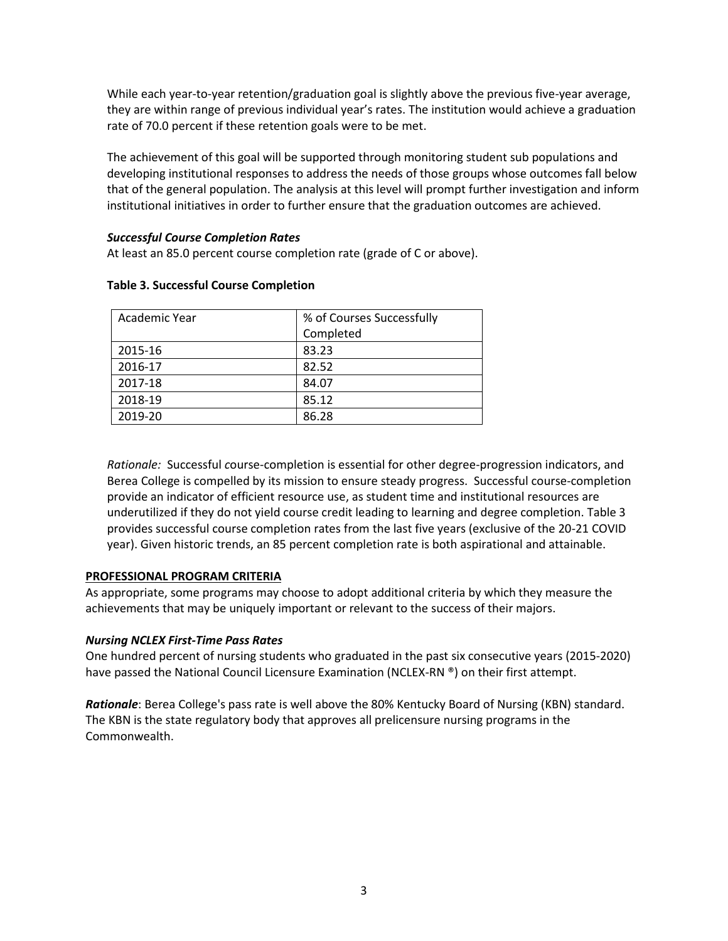While each year-to-year retention/graduation goal is slightly above the previous five-year average, they are within range of previous individual year's rates. The institution would achieve a graduation rate of 70.0 percent if these retention goals were to be met.

The achievement of this goal will be supported through monitoring student sub populations and developing institutional responses to address the needs of those groups whose outcomes fall below that of the general population. The analysis at this level will prompt further investigation and inform institutional initiatives in order to further ensure that the graduation outcomes are achieved.

### *Successful Course Completion Rates*

At least an 85.0 percent course completion rate (grade of C or above).

| Academic Year | % of Courses Successfully |  |
|---------------|---------------------------|--|
|               | Completed                 |  |
| 2015-16       | 83.23                     |  |
| 2016-17       | 82.52                     |  |
| 2017-18       | 84.07                     |  |
| 2018-19       | 85.12                     |  |
| 2019-20       | 86.28                     |  |

### **Table 3. Successful Course Completion**

*Rationale:* Successful *c*ourse-completion is essential for other degree-progression indicators, and Berea College is compelled by its mission to ensure steady progress. Successful course-completion provide an indicator of efficient resource use, as student time and institutional resources are underutilized if they do not yield course credit leading to learning and degree completion. Table 3 provides successful course completion rates from the last five years (exclusive of the 20-21 COVID year). Given historic trends, an 85 percent completion rate is both aspirational and attainable.

### **PROFESSIONAL PROGRAM CRITERIA**

As appropriate, some programs may choose to adopt additional criteria by which they measure the achievements that may be uniquely important or relevant to the success of their majors.

### *Nursing NCLEX First-Time Pass Rates*

One hundred percent of nursing students who graduated in the past six consecutive years (2015-2020) have passed the National Council Licensure Examination (NCLEX-RN ®) on their first attempt.

*Rationale*: Berea College's pass rate is well above the 80% Kentucky Board of Nursing (KBN) standard. The KBN is the state regulatory body that approves all prelicensure nursing programs in the Commonwealth.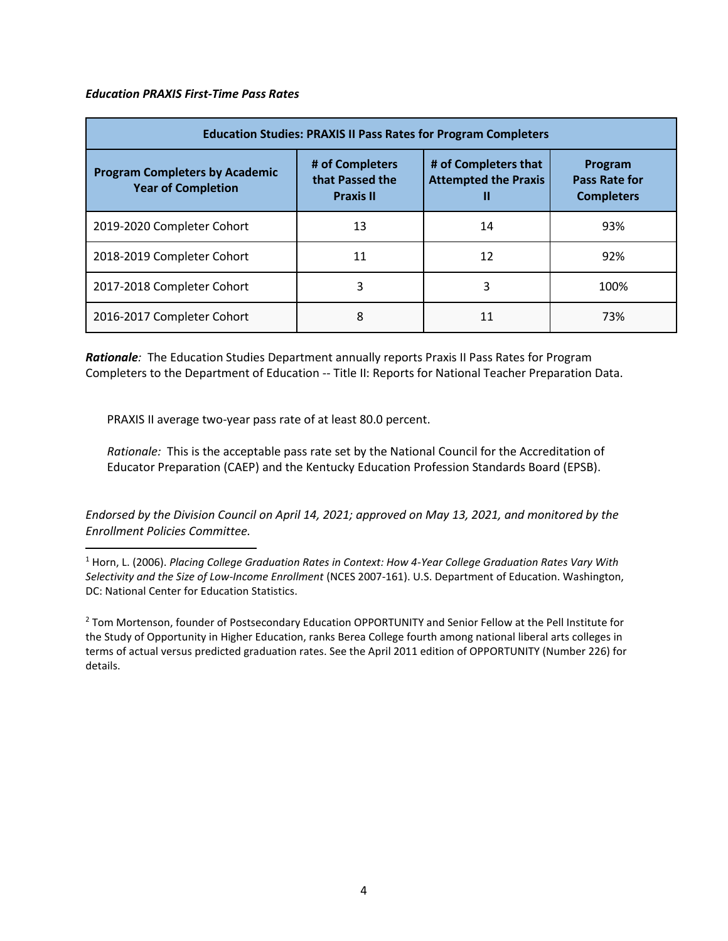#### *Education PRAXIS First-Time Pass Rates*

| <b>Education Studies: PRAXIS II Pass Rates for Program Completers</b> |                                                        |                                                          |                                                      |  |  |
|-----------------------------------------------------------------------|--------------------------------------------------------|----------------------------------------------------------|------------------------------------------------------|--|--|
| <b>Program Completers by Academic</b><br><b>Year of Completion</b>    | # of Completers<br>that Passed the<br><b>Praxis II</b> | # of Completers that<br><b>Attempted the Praxis</b><br>Ш | Program<br><b>Pass Rate for</b><br><b>Completers</b> |  |  |
| 2019-2020 Completer Cohort                                            | 13                                                     | 14                                                       | 93%                                                  |  |  |
| 2018-2019 Completer Cohort                                            | 11                                                     | 12                                                       | 92%                                                  |  |  |
| 2017-2018 Completer Cohort                                            | 3                                                      | 3                                                        | 100%                                                 |  |  |
| 2016-2017 Completer Cohort                                            | 8                                                      | 11                                                       | 73%                                                  |  |  |

*Rationale:* The Education Studies Department annually reports Praxis II Pass Rates for Program Completers to the Department of Education -- Title II: Reports for National Teacher Preparation Data.

PRAXIS II average two-year pass rate of at least 80.0 percent.

*Rationale:* This is the acceptable pass rate set by the National Council for the Accreditation of Educator Preparation (CAEP) and the Kentucky Education Profession Standards Board (EPSB).

*Endorsed by the Division Council on April 14, 2021; approved on May 13, 2021, and monitored by the Enrollment Policies Committee.*

<sup>1</sup> Horn, L. (2006). *Placing College Graduation Rates in Context: How 4-Year College Graduation Rates Vary With Selectivity and the Size of Low-Income Enrollment* (NCES 2007-161). U.S. Department of Education. Washington, DC: National Center for Education Statistics.

<sup>2</sup> Tom Mortenson, founder of Postsecondary Education OPPORTUNITY and Senior Fellow at the Pell Institute for the Study of Opportunity in Higher Education, ranks Berea College fourth among national liberal arts colleges in terms of actual versus predicted graduation rates. See the April 2011 edition of OPPORTUNITY (Number 226) for details.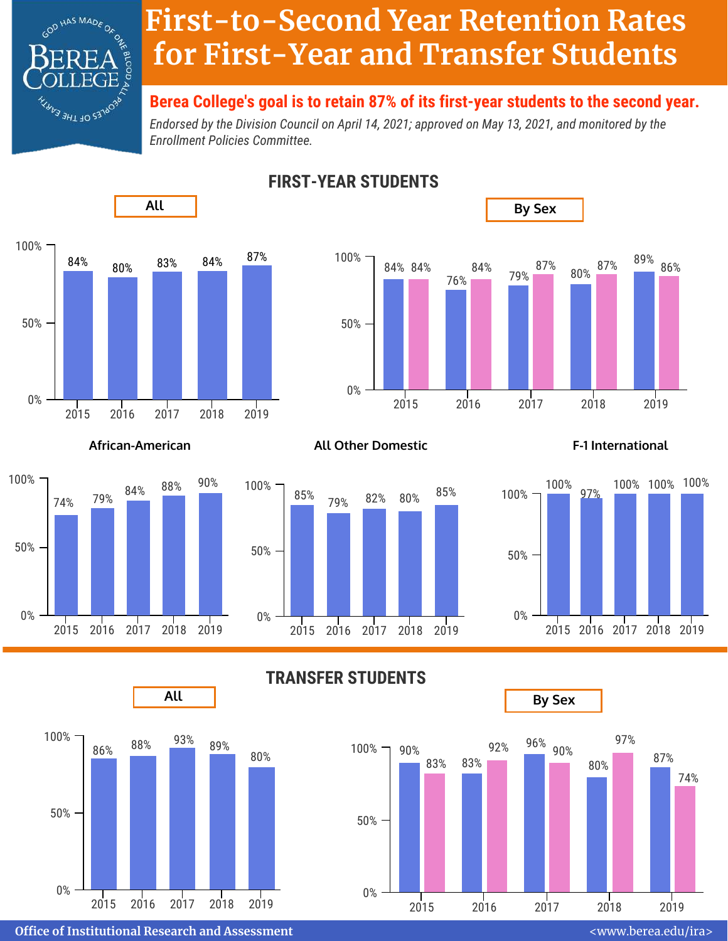

# **First-to-Second Year Retention Rates for First-Year and Transfer Students**

# **Berea College's goal is to retain 87% of its first-year students to the second year.**

*Endorsed by the Division Council on April 14, 2021; approved on May 13, 2021, and monitored by the Enrollment Policies Committee.*



**FIRST-YEAR STUDENTS**





## **African-American All Other Domestic F-1 International**

79% 82% 80%





**TRANSFER STUDENTS**

2015 2016 2017 2018 2019



**Oce of Institutional Research and Assessment** <www.berea.edu/ira>

74%